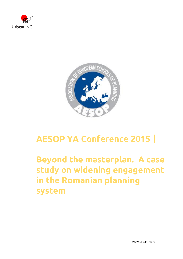



## **AESOP YA Conference 2015**|

## **Beyond the masterplan. A case study on widening engagement in the Romanian planning system**

www.urbaninc.ro